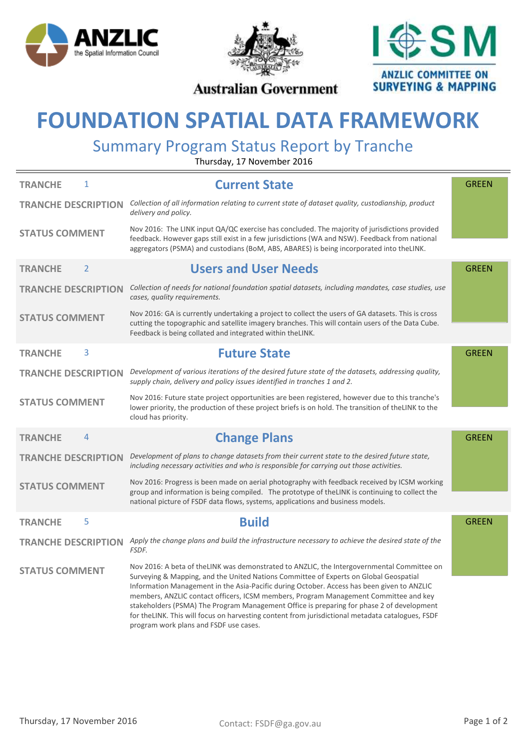





### **Australian Government**

# **FOUNDATION SPATIAL DATA FRAMEWORK**

## Summary Program Status Report by Tranche

Thursday, 17 November 2016

| 1<br><b>TRANCHE</b>              | <b>Current State</b>                                                                                                                                                                                                                                                                                                                                                                                                                                                                                                                                                                                                  | <b>GREEN</b> |
|----------------------------------|-----------------------------------------------------------------------------------------------------------------------------------------------------------------------------------------------------------------------------------------------------------------------------------------------------------------------------------------------------------------------------------------------------------------------------------------------------------------------------------------------------------------------------------------------------------------------------------------------------------------------|--------------|
| <b>TRANCHE DESCRIPTION</b>       | Collection of all information relating to current state of dataset quality, custodianship, product<br>delivery and policy.                                                                                                                                                                                                                                                                                                                                                                                                                                                                                            |              |
| <b>STATUS COMMENT</b>            | Nov 2016: The LINK input QA/QC exercise has concluded. The majority of jurisdictions provided<br>feedback. However gaps still exist in a few jurisdictions (WA and NSW). Feedback from national<br>aggregators (PSMA) and custodians (BoM, ABS, ABARES) is being incorporated into theLINK.                                                                                                                                                                                                                                                                                                                           |              |
| $\overline{2}$<br><b>TRANCHE</b> | <b>Users and User Needs</b>                                                                                                                                                                                                                                                                                                                                                                                                                                                                                                                                                                                           | <b>GREEN</b> |
| <b>TRANCHE DESCRIPTION</b>       | Collection of needs for national foundation spatial datasets, including mandates, case studies, use<br>cases, quality requirements.                                                                                                                                                                                                                                                                                                                                                                                                                                                                                   |              |
| <b>STATUS COMMENT</b>            | Nov 2016: GA is currently undertaking a project to collect the users of GA datasets. This is cross<br>cutting the topographic and satellite imagery branches. This will contain users of the Data Cube.<br>Feedback is being collated and integrated within theLINK.                                                                                                                                                                                                                                                                                                                                                  |              |
| 3<br><b>TRANCHE</b>              | <b>Future State</b>                                                                                                                                                                                                                                                                                                                                                                                                                                                                                                                                                                                                   | <b>GREEN</b> |
| <b>TRANCHE DESCRIPTION</b>       | Development of various iterations of the desired future state of the datasets, addressing quality,<br>supply chain, delivery and policy issues identified in tranches 1 and 2.                                                                                                                                                                                                                                                                                                                                                                                                                                        |              |
| <b>STATUS COMMENT</b>            | Nov 2016: Future state project opportunities are been registered, however due to this tranche's<br>lower priority, the production of these project briefs is on hold. The transition of the LINK to the<br>cloud has priority.                                                                                                                                                                                                                                                                                                                                                                                        |              |
| 4<br><b>TRANCHE</b>              | <b>Change Plans</b>                                                                                                                                                                                                                                                                                                                                                                                                                                                                                                                                                                                                   | <b>GREEN</b> |
| <b>TRANCHE DESCRIPTION</b>       | Development of plans to change datasets from their current state to the desired future state,<br>including necessary activities and who is responsible for carrying out those activities.                                                                                                                                                                                                                                                                                                                                                                                                                             |              |
| <b>STATUS COMMENT</b>            | Nov 2016: Progress is been made on aerial photography with feedback received by ICSM working<br>group and information is being compiled. The prototype of the LINK is continuing to collect the<br>national picture of FSDF data flows, systems, applications and business models.                                                                                                                                                                                                                                                                                                                                    |              |
| 5<br><b>TRANCHE</b>              | <b>Build</b>                                                                                                                                                                                                                                                                                                                                                                                                                                                                                                                                                                                                          | <b>GREEN</b> |
| <b>TRANCHE DESCRIPTION</b>       | Apply the change plans and build the infrastructure necessary to achieve the desired state of the<br>FSDF.                                                                                                                                                                                                                                                                                                                                                                                                                                                                                                            |              |
| <b>STATUS COMMENT</b>            | Nov 2016: A beta of the LINK was demonstrated to ANZLIC, the Intergovernmental Committee on<br>Surveying & Mapping, and the United Nations Committee of Experts on Global Geospatial<br>Information Management in the Asia-Pacific during October. Access has been given to ANZLIC<br>members, ANZLIC contact officers, ICSM members, Program Management Committee and key<br>stakeholders (PSMA) The Program Management Office is preparing for phase 2 of development<br>for theLINK. This will focus on harvesting content from jurisdictional metadata catalogues, FSDF<br>program work plans and FSDF use cases. |              |